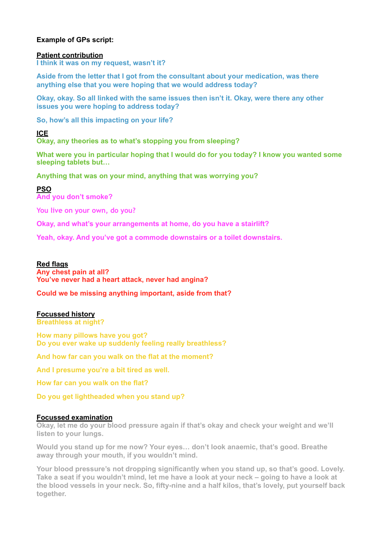# **Example of GPs script:**

#### **Patient contribution**

**I think it was on my request, wasn't it?** 

**Aside from the letter that I got from the consultant about your medication, was there anything else that you were hoping that we would address today?** 

**Okay, okay. So all linked with the same issues then isn't it. Okay, were there any other issues you were hoping to address today?** 

**So, how's all this impacting on your life?** 

**ICE** 

**Okay, any theories as to what's stopping you from sleeping?** 

**What were you in particular hoping that I would do for you today? I know you wanted some sleeping tablets but…** 

**Anything that was on your mind, anything that was worrying you?** 

**PSO And you don't smoke?** 

**You live on your own, do you?**

**Okay, and what's your arrangements at home, do you have a stairlift?** 

**Yeah, okay. And you've got a commode downstairs or a toilet downstairs.** 

## **Red flags**

**Any chest pain at all? You've never had a heart attack, never had angina?** 

**Could we be missing anything important, aside from that?** 

### **Focussed history**

**Breathless at night?** 

**How many pillows have you got? Do you ever wake up suddenly feeling really breathless?** 

**And how far can you walk on the flat at the moment?** 

**And I presume you're a bit tired as well.** 

**How far can you walk on the flat?** 

**Do you get lightheaded when you stand up?** 

#### **Focussed examination**

**Okay, let me do your blood pressure again if that's okay and check your weight and we'll listen to your lungs.** 

**Would you stand up for me now? Your eyes… don't look anaemic, that's good. Breathe away through your mouth, if you wouldn't mind.** 

**Your blood pressure's not dropping significantly when you stand up, so that's good. Lovely. Take a seat if you wouldn't mind, let me have a look at your neck – going to have a look at the blood vessels in your neck. So, fifty-nine and a half kilos, that's lovely, put yourself back together.**